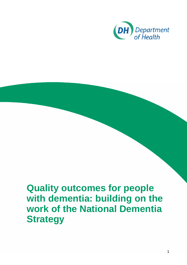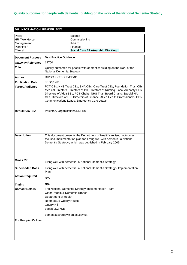| DH INFORMATION READER BOX  |                                                                                                                                                                                                                                                                                                                                                                  |  |  |  |
|----------------------------|------------------------------------------------------------------------------------------------------------------------------------------------------------------------------------------------------------------------------------------------------------------------------------------------------------------------------------------------------------------|--|--|--|
| Policy<br>HR / Workforce   | Estates<br>Commissioning                                                                                                                                                                                                                                                                                                                                         |  |  |  |
| Management                 | IM & T                                                                                                                                                                                                                                                                                                                                                           |  |  |  |
| Planning /                 | Finance                                                                                                                                                                                                                                                                                                                                                          |  |  |  |
| Clinical                   | <b>Social Care / Partnership Working</b>                                                                                                                                                                                                                                                                                                                         |  |  |  |
| <b>Document Purpose</b>    | <b>Best Practice Guidance</b>                                                                                                                                                                                                                                                                                                                                    |  |  |  |
| <b>Gateway Reference</b>   | 14700                                                                                                                                                                                                                                                                                                                                                            |  |  |  |
| Title                      | Quality outcomes for people with dementia: building on the work of the<br>National Dementia Strategy                                                                                                                                                                                                                                                             |  |  |  |
| Author                     | DH/SCLGCP/SCP/OP&D                                                                                                                                                                                                                                                                                                                                               |  |  |  |
| <b>Publication Date</b>    | 08 Sep 2010                                                                                                                                                                                                                                                                                                                                                      |  |  |  |
| <b>Target Audience</b>     | PCT CEs, NHS Trust CEs, SHA CEs, Care Trust CEs, Foundation Trust CEs<br>Medical Directors, Directors of PH, Directors of Nursing, Local Authority CEs,<br>Directors of Adult SSs, PCT Chairs, NHS Trust Board Chairs, Special HA<br>CEs, Directors of HR, Directors of Finance, Allied Health Professionals, GPs,<br>Communications Leads, Emergency Care Leads |  |  |  |
| <b>Circulation List</b>    | <b>Voluntary Organisations/NDPBs</b>                                                                                                                                                                                                                                                                                                                             |  |  |  |
| <b>Description</b>         | This document presents the Department of Health's revised, outcomes<br>focused implementation plan for 'Living well with dementia: a National<br>Dementia Strategy', which was published in February 2009.                                                                                                                                                       |  |  |  |
| Cross Ref                  | Living well with dementia: a National Dementia Strategy                                                                                                                                                                                                                                                                                                          |  |  |  |
| <b>Superseded Docs</b>     | Living well with dementia: a National Dementia Strategy - Implementation<br>Plan                                                                                                                                                                                                                                                                                 |  |  |  |
| <b>Action Required</b>     | N/A                                                                                                                                                                                                                                                                                                                                                              |  |  |  |
| <b>Timing</b>              | N/A                                                                                                                                                                                                                                                                                                                                                              |  |  |  |
| <b>Contact Details</b>     | The National Dementia Strategy Implementation Team<br>Older People & Dementia Branch<br>Department of Health<br>Room 8E25 Quarry House<br><b>Quarry Hill</b><br>Leeds LS2 7UE<br>dementia.strategy@dh.gsi.gov.uk                                                                                                                                                 |  |  |  |
| <b>For Recipient's Use</b> |                                                                                                                                                                                                                                                                                                                                                                  |  |  |  |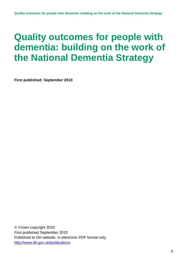**First published: September 2010** 

© Crown copyright 2010 First published September 2010 Published to DH website, in electronic PDF format only. <http://www.dh.gov.uk/publications>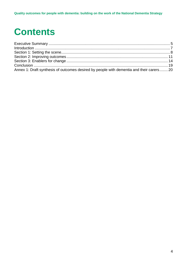## **Contents**

| Annex 1: Draft synthesis of outcomes desired by people with dementia and their carers 20 |  |
|------------------------------------------------------------------------------------------|--|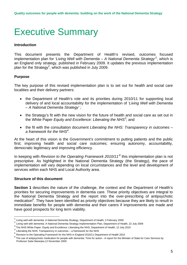## <span id="page-4-0"></span>Executive Summary

### **Introduction**

This document presents the Department of Health's revised, outcomes focused implementation plan for *'Living Well with Dementia – A National Dementia Strategy'[1](#page-4-1)* , which is an England only strategy, published in February 2009. It updates the previous implementation plan for the Strategy<sup>2</sup>, which was published in July 2009.

### **Purpose**

The key purpose of this revised implementation plan is to set out for health and social care localities and their delivery partners:

- the Department of Health's role and its priorities during 2010/11 for supporting local delivery of and local accountability for the implementation of *'Living Well with Dementia – A National Dementia Strategy'* ;
- the Strategy's fit with the new vision for the future of health and social care as set out in the White Paper *Equity and Excellence: Liberating the NHS[3](#page-4-3)* ; and
- the fit with the consultation document *Liberating the NHS: Transparency in outcomes a framework for the NHS[4](#page-4-4) .*

At the heart of this vision is the Government's commitment to putting patients and the public first; improving health and social care outcomes; ensuring autonomy, accountability, democratic legitimacy and improving efficiency.

In keeping with *Revision to the Operating Framework 2010/11['5](#page-4-5)* this implementation plan is not prescriptive. As highlighted in the National Dementia Strategy (the Strategy), the pace of implementation will vary depending on local circumstances and the level and development of services within each NHS and Local Authority area.

#### **Structure of this document**

**Section 1** describes the nature of the challenge, the context and the Department of Health's priorities for securing improvements in dementia care. These priority objectives are integral to the National Dementia Strategy and the report into the over-prescribing of antipsychotic medication<sup>[6](#page-4-6)</sup>. They have been identified as priority objectives because they are likely to result in immediate benefits for people with dementia and their carers if improvements are made and have good prospects for long term viability.

<span id="page-4-1"></span> $\frac{1}{1}$ Living well with dementia: A National Dementia Strategy, Department of Health, 3 February 2009

<span id="page-4-2"></span><sup>2</sup> Living well with dementia: A National Dementia Strategy Implementation Plan, Department of Health, 22 July <sup>2009</sup>

<span id="page-4-3"></span><sup>3</sup> <sup>3</sup> The NHS White Paper: Equity and Excellence: Liberating the NHS, Department of Health, 12 July 2010

<span id="page-4-4"></span><sup>&</sup>lt;sup>4</sup> Liberating the NHS: Transparency in outcomes – a framework for the NHS<br> $\frac{5}{2}$  Deviation to the Operation Framework for the NHO is Final and 2012/14 Dev

<span id="page-4-5"></span><sup>5</sup> Revision to the Operating Framework for the NHS in England 2010/11 Department of Health 2010

<span id="page-4-6"></span><sup>6</sup> The use of antipsychotic medication for people with dementia: Time for action - A report for the Minister of State for Care Services by Professor Sube Banerjee,12 November 2009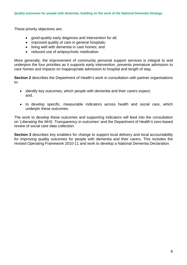These priority objectives are:

- good-quality early diagnosis and intervention for all;
- improved quality of care in general hospitals;
- living well with dementia in care homes; and
- reduced use of antipsychotic medication.

More generally, the improvement of community personal support services is integral to and underpins the four priorities as it supports early intervention, prevents premature admission to care homes and impacts on inappropriate admission to hospital and length of stay.

**Section 2** describes the Department of Health's work in consultation with partner organisations to:

- identify key outcomes, which people with dementia and their carers expect; and,
- to develop specific, measurable indicators across health and social care, which underpin these outcomes.

The work to develop these outcomes and supporting indicators will feed into the consultation on '*Liberating the NHS: Transparency in outcomes'* and the Department of Health's zero-based review of social care data collection.

**Section 3** describes key enablers for change to support local delivery and local accountability for improving quality outcomes for people with dementia and their carers. This includes the revised Operating Framework 2010-11 and work to develop a National Dementia Declaration.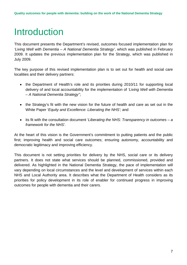# <span id="page-6-0"></span>Introduction

This document presents the Department's revised, outcomes focused implementation plan for *'Living Well with Dementia – A National Dementia Strategy'*, which was published in February 2009. It updates the previous implementation plan for the Strategy, which was published in July 2009.

The key purpose of this revised implementation plan is to set out for health and social care localities and their delivery partners:

- the Department of Health's role and its priorities during 2010/11 for supporting local delivery of and local accountability for the implementation of *'Living Well with Dementia – A National Dementia Strategy'*';
- the Strategy's fit with the new vision for the future of health and care as set out in the White Paper '*Equity and Excellence: Liberating the NHS';* and
- its fit with the consultation document '*Liberating the NHS: Transparency in outcomes a framework for the NHS'.*

At the heart of this vision is the Government's commitment to putting patients and the public first; improving health and social care outcomes; ensuring autonomy, accountability and democratic legitimacy and improving efficiency.

This document is not setting priorities for delivery by the NHS, social care or its delivery partners. It does not state what services should be planned, commissioned, provided and delivered. As highlighted in the National Dementia Strategy, the pace of implementation will vary depending on local circumstances and the level and development of services within each NHS and Local Authority area. It describes what the Department of Health considers as its priorities for policy development in its role of enabler for continued progress in improving outcomes for people with dementia and their carers.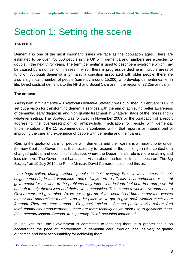## <span id="page-7-0"></span>Section 1: Setting the scene

#### **The issue**

Dementia is one of the most important issues we face as the population ages. There are estimated to be over 750,000 people in the UK with dementia and numbers are expected to double in the next thirty years. The term 'dementia' is used to describe a syndrome which may be caused by a number of illnesses in which there is progressive decline in multiple areas of function. Although dementia is primarily a condition associated with older people, there are also a significant number of people (currently around 15,000) who develop dementia earlier in life. Direct costs of dementia to the NHS and Social Care are in the region of £8.2bn annually.

### **The context**

*'Living well with Dementia – A National Dementia Strategy'* was published in February 2009. It set out a vision for transforming dementia services with the aim of achieving better awareness of dementia, early diagnosis and high quality treatment at whatever stage of the illness and in whatever setting. The Strategy was followed in November 2009 by the publication of a report addressing the over-prescription of antipsychotic medication for people with dementia. Implementation of the 11 recommendations contained within that report is an integral part of improving the care and experience of people with dementia and their carers.

Raising the quality of care for people with dementia and their carers is a major priority under the new Coalition Government. It is necessary to respond to the challenge in the context of a changed political and economic landscape, where the Department's role is more enabling and less directive. The Government has a clear vision about the future. In his speech on "The Big Society" on 19 July 2010 the Prime Minster, David Cameron, described this as:

*' …a huge culture change…where people, in their everyday lives, in their homes, in their neighbourhoods, in their workplace…don't always turn to officials, local authorities or central government for answers to the problems they face …but instead feel both free and powerful enough to help themselves and their own communities. This means a whole new approach to Government and governing. We've got to get rid of the centralised bureaucracy that wastes money and undermines morale. And in its place we've got to give professionals much more freedom. There are three strands… First, social action…. Second, public service reform. And third, community empowerment… there are three techniques we must use to galvanise them. First, decentralisation. Second, transparency. Third, providing finance…'* [7](#page-7-1)

In line with this, the Government is committed to ensuring there is a greater focus on accelerating the pace of improvement in dementia care, through local delivery of quality outcomes and local accountability for achieving them.

<span id="page-7-1"></span> <sup>7</sup> [http://www.number10.gov.uk/news/speeches-and-transcripts/2010/07/big-society-speech-53572\)](http://www.number10.gov.uk/news/speeches-and-transcripts/2010/07/big-society-speech-53572)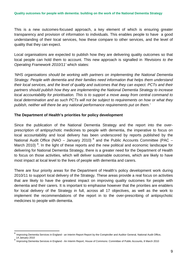This is a new outcomes-focused approach, a key element of which is ensuring greater transparency and provision of information to individuals. This enables people to have a good understanding of their local services, how these compare to other services, and the level of quality that they can expect.

Local organisations are expected to publish how they are delivering quality outcomes so that local people can hold them to account. This new approach is signalled in *'Revisions to the Operating Framework 2010/11'* which states:

*'NHS organisations should be working with partners on implementing the National Dementia Strategy. People with dementia and their families need information that helps them understand their local services, and the level of quality and outcomes that they can expect. PCTs and their partners should publish how they are implementing the National Dementia Strategy to increase local accountability for prioritisation. This is to support a move away from central command to local determination and as such PCTs will not be subject to requirements on how or what they publish, neither will there be any national performance requirements put on them.'*

### **The Department of Health's priorities for policy development**

Since the publication of the National Dementia Strategy and the report into the overprescription of antipsychotic medicines to people with dementia, the imperative to focus on local accountability and local delivery has been underscored by reports published by the National Audit Office (NAO – January 2010)  $^8$  and the Public Accounts Committee (PAC – March 2010)<sup>[9](#page-8-1)</sup>. In the light of these reports and the new political and economic landscape for delivering for National Dementia Strategy, there is a greater need for the Department of Health to focus on those activities, which will deliver sustainable outcomes, which are likely to have most impact at local level to the lives of people with dementia and carers.

There are four priority areas for the Department of Health's policy development work during 2010/11 to support local delivery of the Strategy. These areas provide a real focus on activities that are likely to have the greatest impact on improving quality outcomes for people with dementia and their carers. It is important to emphasise however that the priorities are enablers for local delivery of the Strategy in full, across all 17 objectives, as well as the work to implement the recommendations of the report in to the over-prescribing of antipsychotic medicines to people with dementia.

<span id="page-8-0"></span>Improving Dementia Services in England - an Interim Report Report by the Comptroller and Auditor General, National Audit Office, 14 January 2010

<span id="page-8-1"></span><sup>9</sup> Improving Dementia Services in England - An Interim Report, House of Commons: Committee of Public Accounts, 8 March 2010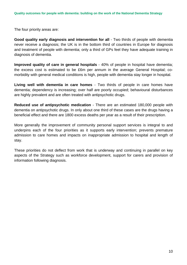The four priority areas are:

**Good quality early diagnosis and intervention for all** - Two thirds of people with dementia never receive a diagnosis; the UK is in the bottom third of countries in Europe for diagnosis and treatment of people with dementia; only a third of GPs feel they have adequate training in diagnosis of dementia.

**Improved quality of care in general hospitals** - 40% of people in hospital have dementia; the excess cost is estimated to be £6m per annum in the average General Hospital; comorbidity with general medical conditions is high, people with dementia stay longer in hospital.

**Living well with dementia in care homes** - Two thirds of people in care homes have dementia; dependency is increasing; over half are poorly occupied; behavioural disturbances are highly prevalent and are often treated with antipsychotic drugs.

**Reduced use of antipsychotic medication** - There are an estimated 180,000 people with dementia on antipsychotic drugs. In only about one third of these cases are the drugs having a beneficial effect and there are 1800 excess deaths per year as a result of their prescription.

More generally the improvement of community personal support services is integral to and underpins each of the four priorities as it supports early intervention; prevents premature admission to care homes and impacts on inappropriate admission to hospital and length of stay.

These priorities do not deflect from work that is underway and continuing in parallel on key aspects of the Strategy such as workforce development, support for carers and provision of information following diagnosis.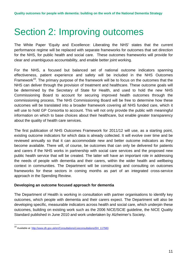## <span id="page-10-0"></span>Section 2: Improving outcomes

The White Paper 'Equity and Excellence: Liberating the NHS' states that the current performance regime will be replaced with separate frameworks for outcomes that set direction for the NHS, for public health and social care. These outcomes frameworks will provide for clear and unambiguous accountability, and enable better joint working.

For the NHS, a focused but balanced set of national outcome indicators spanning effectiveness, patient experience and safety will be included in the NHS Outcomes Framework<sup>10</sup>. The primary purpose of the framework will be to focus on the outcomes that the NHS can deliver through the provision of treatment and healthcare. These outcome goals will be determined by the Secretary of State for Health, and used to hold the new NHS Commissioning Board to account for securing improved health outcomes through the commissioning process. The NHS Commissioning Board will be free to determine how these outcomes will be translated into a broader framework covering all NHS funded care, which it will use to hold GP Consortia to account. This will not only provide the public with meaningful information on which to base choices about their healthcare, but enable greater transparency about the quality of health care services.

The first publication of NHS Outcomes Framework for 2011/12 will use, as a starting point, existing outcome indicators for which data is already collected. It will evolve over time and be reviewed annually so that it can accommodate new and better outcome indicators as they become available. There will, of course, be outcomes that can only be delivered for patients and carers if the NHS works in partnership with social care services and the proposed new public health service that will be created. The latter will have an important role in addressing the needs of people with dementia and their carers, within the wider health and wellbeing context in communities. The Department will be constructing and consulting on outcomes frameworks for these sectors in coming months as part of an integrated cross-service approach in the Spending Review.

#### **Developing an outcome focused approach for dementia**

The Department of Health is working in consultation with partner organisations to identify key outcomes, which people with dementia and their carers expect. The Department will also be developing specific, measurable indicators across health and social care, which underpin these outcomes, building on existing work such as the 2006 NICE/SCIE guideline, the NICE Quality Standard published in June 2010 and work undertaken by Alzheimer's Society.

<span id="page-10-1"></span><sup>&</sup>lt;sup>10</sup> Available at [http://www.dh.gov.uk/en/Consultations/Liveconsultations/DH\\_117583](http://www.dh.gov.uk/en/Consultations/Liveconsultations/DH_117583)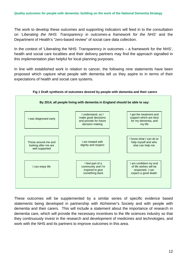The work to develop these outcomes and supporting indicators will feed in to the consultation on '*Liberating the NHS: Transparency in outcomes-a framework for the NHS'* and the Department of Health's "zero-based review" of social care data collection.

In the context of 'Liberating the NHS: Transparency in outcomes – a framework for the NHS', health and social care localities and their delivery partners may find the approach signalled in this implementation plan helpful for local planning purposes.

In line with established work in relation to cancer, the following nine statements have been proposed which capture what people with dementia tell us they aspire to in terms of their expectations of health and social care systems.



#### **Fig 1 Draft synthesis of outcomes desired by people with dementia and their carers**

These outcomes will be supplemented by a similar series of specific evidence based statements being developed in partnership with Alzheimer's Society and with people with dementia and their carers. This will include a statement about the importance of research in dementia care, which will provide the necessary incentives to the life sciences industry so that they continuously invest in the research and development of medicines and technologies, and work with the NHS and its partners to improve outcomes in this area.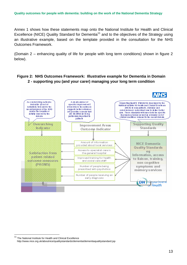Annex 1 shows how these statements map onto the National Institute for Health and Clinical Excellence (NICE) Quality Standard for Dementia<sup>11</sup> and to the objectives of the Strategy using an illustrative example, based on the template provided in the consultation for the NHS Outcomes Framework.

(Domain 2 – enhancing quality of life for people with long term conditions) shown in figure 2 below).

### **Figure 2: NHS Outcomes Framework: Illustrative example for Dementia in Domain 2 - supporting you (and your carer) managing your long term condition**



<span id="page-12-0"></span><sup>&</sup>lt;sup>11</sup> The National Institute for Health and Clinical Excellence http://www.nice.org.uk/aboutnice/qualitystandards/dementia/dementiaqualitystandard.jsp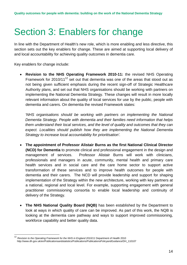## <span id="page-13-0"></span>Section 3: Enablers for change

In line with the Department of Health's new role, which is more enabling and less directive, this section sets out the key enablers for change. These are aimed at supporting local delivery of and local accountability for achieving quality outcomes in dementia care.

Key enablers for change include:

• **Revision to the NHS Operating Framework 2010-11:** the revised NHS Operating Framework for 2010/11<sup>12</sup> set out that dementia was one of the areas that stood out as not being given sufficient emphasis during the recent sign-off of Strategic Healthcare Authority plans, and set out that NHS organisations should be working with partners on implementing the National Dementia Strategy. These changes will result in more locally relevant information about the quality of local services for use by the public, people with dementia and carers. On dementia the revised Framework states:

*'NHS organisations should be working with partners on implementing the National Dementia Strategy. People with dementia and their families need information that helps them understand their local services, and the level of quality and outcomes that they can expect. Localities should publish how they are implementing the National Dementia Strategy to increase local accountability for prioritisation'.* 

- **The appointment of Professor Alistair Burns as the first National Clinical Director (NCD) for Dementia** to promote clinical and professional engagement in the design and management of services. Professor Alistair Burns will work with clinicians, professionals and managers in acute, community, mental health and primary care health services and in social care and the care home sector to support active transformation of these services and to improve health outcomes for people with dementia and their carers. The NCD will provide leadership and support for shaping implementation of the Strategy within the new architecture, working with key partners at a national, regional and local level. For example, supporting engagement with general practitioner commissioning consortia to enable local leadership and continuity of delivery of the Strategy.
- **The NHS National Quality Board (NQB)** has been established by the Department to look at ways in which quality of care can be improved. As part of this work, the NQB is looking at the dementia care pathway and ways to support improved commissioning, workforce capability and better quality data.

<span id="page-13-1"></span> <sup>12</sup> *Revision to the Operating Framework for the NHS in England 2010/11* Department of Health 2010 http://www.dh.gov.uk/en/Publicationsandstatistics/Publications/PublicationsPolicyandGuidance/DH\_110107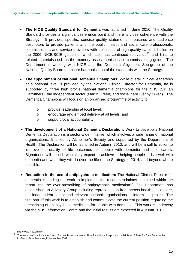- **The NICE Quality Standard for Dementia** was launched in June 2010. The Quality Standard provides a significant reference point and there is close coherence with the Strategy. It provides specific, concise quality statements, measures and audience descriptors to provide patients and the public, health and social care professionals, commissioners and service providers with definitions of high-quality care. It builds on the 2006 NICE/SCIE guideline, which also has continued relevance<sup>13</sup> and links to related materials such as the memory assessment service commissioning guide. The Department is working with NICE and the Dementia Alignment Sub-group of the National Quality Board to ensure harmonisation of the standards with the Strategy.
- **The appointment of National Dementia Champions:** While overall clinical leadership at a national level is provided by the National Clinical Director for Dementia, he is supported by three high profile national dementia champions for the NHS (Sir Ian Carruthers), the independent sector (Martin Green) and social care (Jenny Owen). The Dementia Champions will focus on an organised programme of activity to:
	- o provide leadership at local level;
	- o encourage and embed delivery at all levels; and
	- o support local accountability.
- **The development of a National Dementia Declaration:** Work to develop a National Dementia Declaration is a sector-wide initiative, which involves a wide range of national organisations. It is led by Alzheimer's Society and supported by the Department of Health. The Declaration will be launched in Autumn 2010, and will be a call to action to improve the quality of life outcomes for people with dementia and their carers. Signatories will publish what they expect to achieve in helping people to live well with dementia and what they will do over the life of the Strategy to 2014, and beyond where possible.
- **Reduction in the use of antipsychotic medication:** The National Clinical Director for dementia is leading the work to implement the recommendations contained within the report into the over-prescribing of antipsychotic medication<sup>14</sup>. The Department has established an Advisory Group including representation from across health, social care, the independent sector and relevant national organisations to inform the project. The first part of this work is to establish and communicate the current position regarding the prescribing of antipsychotic medicines for people with dementia. This work is underway via the NHS Information Centre and the initial results are expected in Autumn 2010.

<span id="page-14-0"></span> <sup>13</sup> http://www.nice.org.uk/

<span id="page-14-1"></span>The use of antipsychotic medication for people with dementia: Time for action - A report for the Minister of State for Care Services by Professor Sube Banerjee,12 November 2009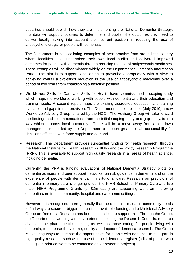Localities should publish how they are implementing the National Dementia Strategy: this data will support localities to determine and publish the outcomes they need to deliver locally, taking into account their current position in reducing the use of antipsychotic drugs for people with dementia.

The Department is also collating examples of best practice from around the country where localities have undertaken their own local audits and delivered improved outcomes for people with dementia through reducing the use of antipsychotic medicines. These examples will be disseminated widely via the Department's Dementia Information Portal. The aim is to support local areas to prescribe appropriately with a view to achieving overall a two-thirds reduction in the use of antipsychotic medicines over a period of two years from establishing a baseline position.

- **Workforce:** Skills for Care and Skills for Health have commissioned a scoping study which maps the workforce working with people with dementia and their education and training needs. A second report maps the existing accredited education and training available and gaps in that provision. The Department has established (July 2010) a new Workforce Advisory Group, chaired by the NCD. The Advisory Group will take forward the findings and recommendations from the initial scoping study and gap analysis in a way which supports local autonomy. There will be a move away from a top-down management model led by the Department to support greater local accountability for decisions affecting workforce supply and demand.
- **Research:** The Department provides substantial funding for health research, through the National Institute for Health Research (NIHR) and the Policy Research Programme (PRP). This is available to support high quality research in all areas of health science, including dementia.

Currently, the PRP is funding evaluations of National Dementia Strategy pilots on dementia advisers and peer support networks, on risk guidance in dementia and on the experience of people with dementia in institutional care. Research on predictors of dementia in primary care is ongoing under the NIHR School for Primary Care and five major NIHR Programme Grants (c. £2m each) are supporting work on improving dementia care in the community, hospital and care home settings.

However, it is recognised more generally that the dementia research community needs to find ways to secure a bigger share of the available funding and a Ministerial Advisory Group on Dementia Research has been established to support this. Through the Group, the Department is working with key partners, including the Research Councils, research charities, the pharmaceutical sector, as well as those caring for people living with dementia, to increase the volume, quality and impact of dementia research. The Group is exploring ways to increase the opportunities for people with dementia to take part in high quality research, such as the use of a local dementia register (a list of people who have given prior consent to be contacted about research projects).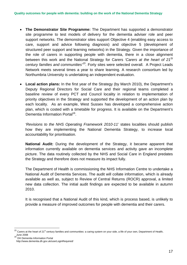- **The Demonstrator Site Programme:** The Department has supported a demonstrator site programme to test models of delivery for the dementia adviser role and peer support networks. The demonstrator sites support Objective 4 (enabling easy access to care, support and advice following diagnosis) and objective 5 (development of structured peer support and learning networks) in the Strategy. Given the importance of the role of carers in supporting people with dementia, there in a close alignment between this work and the National Strategy for Carers *'Carers at the heart of 21St century families and communities'[15.](#page-16-0)* Forty sites were selected overall. A Project Leads Network meets several times a year to share learning. A research consortium led by Northumbria University is undertaking an independent evaluation.
- **Local action plans:** In the first year of the Strategy (by March 2010), the Department's Deputy Regional Directors for Social Care and their regional teams completed a baseline review of every PCT and Council locality in relation to implementation of priority objectives in the Strategy and supported the development of an action plan by each locality. As an example, West Sussex has developed a comprehensive action plan, which is costed with a timetable for progress. It is available on the Department's Dementia Information Portal<sup>16</sup>.

*'Revisions to the NHS Operating Framework 2010-11'* states localities should publish how they are implementing the National Dementia Strategy, to increase local accountability for prioritisation*.*

**National Audit:** During the development of the Strategy, it became apparent that information currently available on dementia services and activity gave an incomplete picture. The data routinely collected by the NHS and Social Care in England predates the Strategy and therefore does not measure its impact fully.

The Department of Health is commissioning the NHS Information Centre to undertake a National Audit of Dementia Services. The audit will collate information, which is already available as well as, subject to Review of Central Returns (ROCR) approval, a limited new data collection. The initial audit findings are expected to be available in autumn 2010.

It is recognised that a National Audit of this kind, which is process based, is unlikely to provide a measure of improved outcomes for people with dementia and their carers.

<span id="page-16-1"></span>DH Dementia Information Portal

<span id="page-16-0"></span> $15$  Carers at the heart of 21<sup>st</sup> century families and communities: a caring system on your side, a life of your own, Department of Health, June 2008

http://www.dementia.dh.gov.uk/userLoginRequired/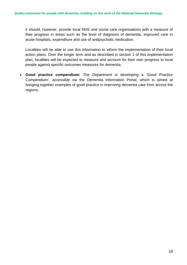It should, however, provide local NHS and social care organisations with a measure of their progress in areas such as the level of diagnosis of dementia, improved care in acute hospitals, expenditure and use of antipsychotic medication.

Localities will be able to use this information to inform the implementation of their local action plans. Over the longer term and as described in section 1 of this implementation plan, localities will be expected to measure and account for their own progress to local people against specific outcomes measures for dementia.

• **Good practice compendium:** The Department is developing a 'Good Practice Compendium', accessible via the Dementia Information Portal, which is aimed at bringing together examples of good practice in improving dementia care from across the regions.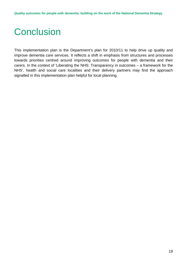# <span id="page-18-0"></span>**Conclusion**

This implementation plan is the Department's plan for 2010/11 to help drive up quality and improve dementia care services. It reflects a shift in emphasis from structures and processes towards priorities centred around improving outcomes for people with dementia and their carers. In the context of 'Liberating the NHS: Transparency in outcomes – a framework for the NHS', health and social care localities and their delivery partners may find the approach signalled in this implementation plan helpful for local planning.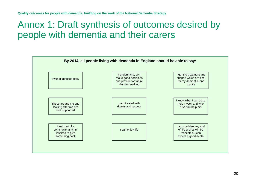### Annex 1: Draft synthesis of outcomes desired by people with dementia and their carers

<span id="page-19-0"></span>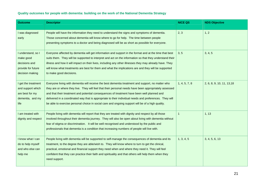| <b>Outcome</b>                                                                            | <b>Descriptor</b>                                                                                                                                                                                                                                                                                                                                                                                                                                                                                                          | <b>NICE QS</b> | <b>NDS Objective</b>       |
|-------------------------------------------------------------------------------------------|----------------------------------------------------------------------------------------------------------------------------------------------------------------------------------------------------------------------------------------------------------------------------------------------------------------------------------------------------------------------------------------------------------------------------------------------------------------------------------------------------------------------------|----------------|----------------------------|
| I was diagnosed<br>early                                                                  | People will have the information they need to understand the signs and symptoms of dementia.<br>Those concerned about dementia will know where to go for help. The time between people<br>presenting symptoms to a doctor and being diagnosed will be as short as possible for everyone.                                                                                                                                                                                                                                   | 2, 3           | 1, 2                       |
| I understand, so I<br>make good<br>decisions and<br>provide for future<br>decision making | Everyone affected by dementia will get information and support in the format and at the time that best<br>suits them. They will be supported to interpret and act on the information so that they understand their<br>illness and how it will impact on their lives, including any other illnesses they may already have. They<br>will know what treatments are best for them and what the implications are and they will be supported<br>to make good decisions.                                                          | 3, 5           | 3, 4, 5                    |
| I get the treatment<br>and support which<br>are best for my<br>dementia, and my<br>life   | Everyone living with dementia will receive the best dementia treatment and support, no matter who<br>they are or where they live. They will feel that their personal needs have been appropriately assessed<br>and that their treatment and potential consequences of treatment have been well planned and<br>delivered in a coordinated way that is appropriate to their individual needs and preferences. They will<br>be able to exercise personal choice in social care and ongoing support will be of a high quality. | 1, 4, 5, 7, 8  | 2, 6, 8, 9, 10, 11, 13, 18 |
| I am treated with<br>dignity and respect                                                  | People living with dementia will report that they are treated with dignity and respect by all those<br>involved throughout their dementia journey. They will also be open about living with dementia without<br>fear of stigma or discrimination. It will be well recognised and understood by the public and<br>professionals that dementia is a condition that increasing numbers of people will live with.                                                                                                              | $\mathbf{1}$   | 1, 13                      |
| I know what I can<br>do to help myself<br>and who else can<br>help me                     | People living with dementia will be supported to self-manage the consequences of dementia and its<br>treatment, to the degree they are able/wish to. They will know where to turn to get the clinical,<br>practical, emotional and financial support they need when and where they need it. They will feel<br>confident that they can practice their faith and spirituality and that others will help them when they<br>need support.                                                                                      | 1, 3, 4, 5     | 3, 4, 5, 6, 13             |